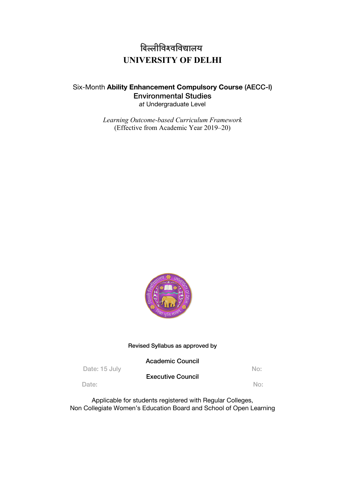# <u>दिल्लीविश्वविद्यालय</u> **UNIVERSITY OF DELHI**

# Six-Month **Ability Enhancement Compulsory Course** (AECC-I) Environmental Studies *at* Undergraduate Level

*Learning Outcome-based Curriculum Framework*  (Effective from Academic Year 2019–20)



# Revised Syllabus as approved by

|               | <b>Academic Council</b>  |     |
|---------------|--------------------------|-----|
| Date: 15 July | <b>Executive Council</b> | No: |
| Date:         |                          | No: |

Applicable for students registered with Regular Colleges, Non Collegiate Women's Education Board and School of Open Learning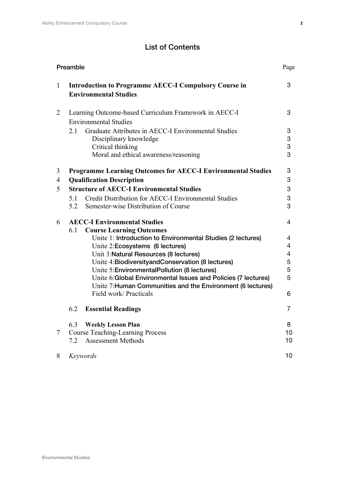# List of Contents

| Preamble     |                                                                                              | Page           |
|--------------|----------------------------------------------------------------------------------------------|----------------|
| $\mathbf{1}$ | <b>Introduction to Programme AECC-I Compulsory Course in</b><br><b>Environmental Studies</b> | 3              |
| 2            | Learning Outcome-based Curriculum Framework in AECC-I<br><b>Environmental Studies</b>        | 3              |
|              | Graduate Attributes in AECC-I Environmental Studies<br>2.1                                   | 3              |
|              | Disciplinary knowledge                                                                       | 3              |
|              | Critical thinking                                                                            | 3              |
|              | Moral and ethical awareness/reasoning                                                        | 3              |
| 3            | <b>Programme Learning Outcomes for AECC-I Environmental Studies</b>                          | 3              |
| 4            | <b>Qualification Description</b>                                                             | 3              |
| 5            | <b>Structure of AECC-I Environmental Studies</b>                                             | 3              |
|              | Credit Distribution for AECC-I Environmental Studies<br>5.1                                  | 3              |
|              | 5.2<br>Semester-wise Distribution of Course                                                  | 3              |
| 6            | <b>AECC-I Environmental Studies</b>                                                          | 4              |
|              | <b>Course Learning Outcomes</b><br>6.1                                                       |                |
|              | Unite 1: Introduction to Environmental Studies (2 lectures)                                  | 4              |
|              | Unite 2:Ecosystems (6 lectures)                                                              | $\overline{4}$ |
|              | Unit 3: Natural Resources (8 lectures)<br>Unite 4: Biodiversityand Conservation (8 lectures) | 4<br>5         |
|              | Unite 5: Environmental Pollution (8 lectures)                                                | 5              |
|              | Unite 6: Global Environmental Issues and Policies (7 lectures)                               | 5              |
|              | Unite 7: Human Communities and the Environment (6 lectures)                                  |                |
|              | Field work/ Practicals                                                                       | 6              |
|              | 6.2<br><b>Essential Readings</b>                                                             | $\overline{7}$ |
|              | 6.3<br><b>Weekly Lesson Plan</b>                                                             | 8              |
| $\tau$       | <b>Course Teaching-Learning Process</b>                                                      | 10             |
|              | 7.2<br><b>Assessment Methods</b>                                                             | 10             |
| 8            | Keywords                                                                                     | 10             |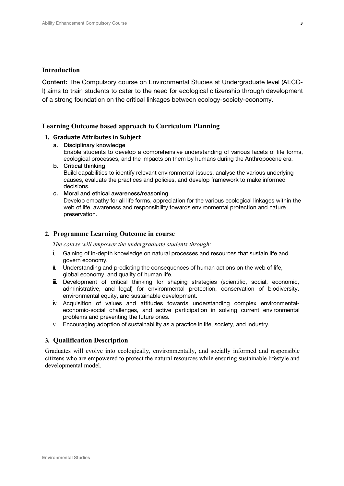#### **Introduction**

Content: The Compulsory course on Environmental Studies at Undergraduate level (AECC-I) aims to train students to cater to the need for ecological citizenship through development of a strong foundation on the critical linkages between ecology-society-economy.

#### **Learning Outcome based approach to Curriculum Planning**

#### **1. Graduate Attributes in Subject**

- a. Disciplinary knowledge Enable students to develop a comprehensive understanding of various facets of life forms, ecological processes, and the impacts on them by humans during the Anthropocene era.
- b. Critical thinking Build capabilities to identify relevant environmental issues, analyse the various underlying causes, evaluate the practices and policies, and develop framework to make informed decisions.
- c. Moral and ethical awareness/reasoning

Develop empathy for all life forms, appreciation for the various ecological linkages within the web of life, awareness and responsibility towards environmental protection and nature preservation.

#### **2. Programme Learning Outcome in course**

*The course will empower the undergraduate students through:*

- i. Gaining of in-depth knowledge on natural processes and resources that sustain life and govern economy.
- ii. Understanding and predicting the consequences of human actions on the web of life, global economy, and quality of human life.
- iii. Development of critical thinking for shaping strategies (scientific, social, economic, administrative, and legal) for environmental protection, conservation of biodiversity, environmental equity, and sustainable development.
- iv. Acquisition of values and attitudes towards understanding complex environmentaleconomic-social challenges, and active participation in solving current environmental problems and preventing the future ones.
- v. Encouraging adoption of sustainability as a practice in life, society, and industry.

## **3. Qualification Description**

Graduates will evolve into ecologically, environmentally, and socially informed and responsible citizens who are empowered to protect the natural resources while ensuring sustainable lifestyle and developmental model.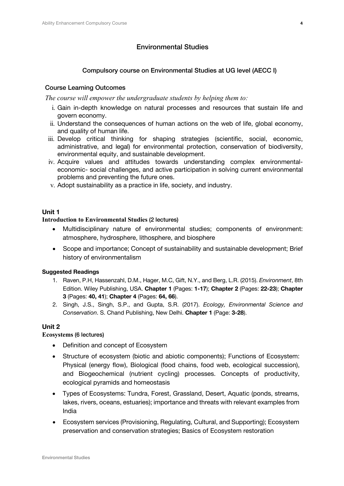# Environmental Studies

# Compulsory course on Environmental Studies at UG level (AECC I)

# Course Learning Outcomes

*The course will empower the undergraduate students by helping them to:*

- i. Gain in-depth knowledge on natural processes and resources that sustain life and govern economy.
- ii. Understand the consequences of human actions on the web of life, global economy, and quality of human life.
- iii. Develop critical thinking for shaping strategies (scientific, social, economic, administrative, and legal) for environmental protection, conservation of biodiversity, environmental equity, and sustainable development.
- iv. Acquire values and attitudes towards understanding complex environmentaleconomic- social challenges, and active participation in solving current environmental problems and preventing the future ones.
- v. Adopt sustainability as a practice in life, society, and industry.

# **Unit 1**

### **Introduction to Environmental Studies** (2 lectures)

- Multidisciplinary nature of environmental studies; components of environment: atmosphere, hydrosphere, lithosphere, and biosphere
- Scope and importance; Concept of sustainability and sustainable development; Brief history of environmentalism

# **Suggested Readings**

- 1. Raven, P.H, Hassenzahl, D.M., Hager, M.C, Gift, N.Y., and Berg, L.R. (2015). *Environment*, 8th Edition. Wiley Publishing, USA. **Chapter 1** (Pages: **1-17**); **Chapter 2** (Pages: **22-23**); **Chapter 3** (Pages: **40, 41**); **Chapter 4** (Pages: **64, 66**).
- 2. Singh, J.S., Singh, S.P., and Gupta, S.R. (2017). *Ecology, Environmental Science and Conservation*. S. Chand Publishing, New Delhi. **Chapter 1** (Page: **3-28**).

# **Unit 2**

# **Ecosystems** (6 lectures)

- Definition and concept of Ecosystem
- Structure of ecosystem (biotic and abiotic components); Functions of Ecosystem: Physical (energy flow), Biological (food chains, food web, ecological succession), and Biogeochemical (nutrient cycling) processes. Concepts of productivity, ecological pyramids and homeostasis
- Types of Ecosystems: Tundra, Forest, Grassland, Desert, Aquatic (ponds, streams, lakes, rivers, oceans, estuaries); importance and threats with relevant examples from India
- Ecosystem services (Provisioning, Regulating, Cultural, and Supporting); Ecosystem preservation and conservation strategies; Basics of Ecosystem restoration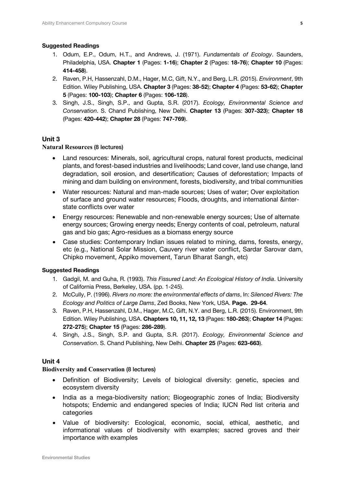#### **Suggested Readings**

- 1. Odum, E.P., Odum, H.T., and Andrews, J. (1971). *Fundamentals of Ecology*. Saunders, Philadelphia, USA. **Chapter 1** (Pages: **1-16**); **Chapter 2** (Pages: **18-76**); **Chapter 10** (Pages: **414-458**).
- 2. Raven, P.H, Hassenzahl, D.M., Hager, M.C, Gift, N.Y., and Berg, L.R. (2015). *Environment*, 9th Edition. Wiley Publishing, USA. **Chapter 3** (Pages: **38-52**); **Chapter 4** (Pages: **53-62**); **Chapter 5** (Pages: **100-103**); **Chapter 6** (Pages: **106-128**).
- 3. Singh, J.S., Singh, S.P., and Gupta, S.R. (2017). *Ecology, Environmental Science and Conservation*. S. Chand Publishing, New Delhi. **Chapter 13** (Pages: **307-323**); **Chapter 18**  (Pages: **420-442**); **Chapter 28** (Pages: **747-769**).

# **Unit 3**

### **Natural Resources** (8 lectures)

- Land resources: Minerals, soil, agricultural crops, natural forest products, medicinal plants, and forest-based industries and livelihoods; Land cover, land use change, land degradation, soil erosion, and desertification; Causes of deforestation; Impacts of mining and dam building on environment, forests, biodiversity, and tribal communities
- Water resources: Natural and man-made sources; Uses of water; Over exploitation of surface and ground water resources; Floods, droughts, and international &interstate conflicts over water
- Energy resources: Renewable and non-renewable energy sources; Use of alternate energy sources; Growing energy needs; Energy contents of coal, petroleum, natural gas and bio gas; Agro-residues as a biomass energy source
- Case studies: Contemporary Indian issues related to mining, dams, forests, energy, etc (e.g., National Solar Mission, Cauvery river water conflict, Sardar Sarovar dam, Chipko movement, Appiko movement, Tarun Bharat Sangh, etc)

#### **Suggested Readings**

- 1. Gadgil, M. and Guha, R. (1993). *This Fissured Land: An Ecological History of India*. University of California Press, Berkeley, USA. (pp. 1-245).
- 2. McCully, P. (1996). *Rivers no more: the environmental effects of dams*, In: *Silenced Rivers: The Ecology and Politics of Large Dams*, Zed Books, New York, USA. **Page. 29-64**.
- 3. Raven, P.H, Hassenzahl, D.M., Hager, M.C, Gift, N.Y. and Berg, L.R. (2015). Environment, 9th Edition. Wiley Publishing, USA. **Chapters 10, 11, 12, 13** (Pages: **180-263**); **Chapter 14** (Pages: **272-275**); **Chapter 15** (Pages: **286-289**).
- 4. Singh, J.S., Singh, S.P. and Gupta, S.R. (2017). *Ecology, Environmental Science and Conservation*. S. Chand Publishing, New Delhi. **Chapter 25** (Pages: **623-663**).

# **Unit 4**

#### **Biodiversity and Conservation** (8 lectures)

- Definition of Biodiversity; Levels of biological diversity: genetic, species and ecosystem diversity
- India as a mega-biodiversity nation; Biogeographic zones of India; Biodiversity hotspots; Endemic and endangered species of India; IUCN Red list criteria and categories
- Value of biodiversity: Ecological, economic, social, ethical, aesthetic, and informational values of biodiversity with examples; sacred groves and their importance with examples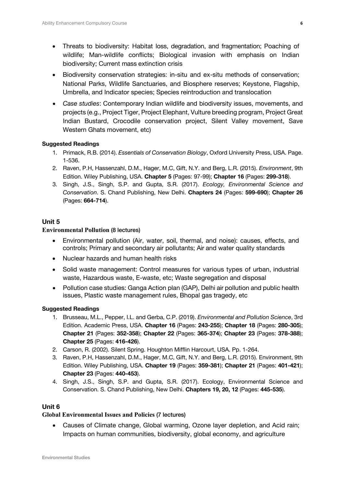- Threats to biodiversity: Habitat loss, degradation, and fragmentation; Poaching of wildlife; Man-wildlife conflicts; Biological invasion with emphasis on Indian biodiversity; Current mass extinction crisis
- Biodiversity conservation strategies: in-situ and ex-situ methods of conservation; National Parks, Wildlife Sanctuaries, and Biosphere reserves; Keystone, Flagship, Umbrella, and Indicator species; Species reintroduction and translocation
- *Case studies*: Contemporary Indian wildlife and biodiversity issues, movements, and projects (e.g., Project Tiger, Project Elephant, Vulture breeding program, Project Great Indian Bustard, Crocodile conservation project, Silent Valley movement, Save Western Ghats movement, etc)

### **Suggested Readings**

- 1. Primack, R.B. (2014). *Essentials of Conservation Biology*, Oxford University Press, USA. Page. 1-536.
- 2. Raven, P.H, Hassenzahl, D.M., Hager, M.C, Gift, N.Y. and Berg, L.R. (2015). *Environment*, 9th Edition. Wiley Publishing, USA. **Chapter 5** (Pages: 97-99); **Chapter 16** (Pages: **299-318**).
- 3. Singh, J.S., Singh, S.P. and Gupta, S.R. (2017). *Ecology, Environmental Science and Conservation*. S. Chand Publishing, New Delhi. **Chapters 24** (Pages: **599-690**); **Chapter 26** (Pages: **664-714**).

# **Unit 5**

#### **Environmental Pollution** (8 lectures)

- Environmental pollution (Air, water, soil, thermal, and noise): causes, effects, and controls; Primary and secondary air pollutants; Air and water quality standards
- Nuclear hazards and human health risks
- Solid waste management: Control measures for various types of urban, industrial waste, Hazardous waste, E-waste, etc; Waste segregation and disposal
- Pollution case studies: Ganga Action plan (GAP), Delhi air pollution and public health issues, Plastic waste management rules, Bhopal gas tragedy, etc

#### **Suggested Readings**

- 1. Brusseau, M.L., Pepper, I.L. and Gerba, C.P. (2019). *Environmental and Pollution Science*, 3rd Edition. Academic Press, USA. **Chapter 16** (Pages: **243-255**); **Chapter 18** (Pages: **280-305**); **Chapter 21** (Pages: **352-358**); **Chapter 22** (Pages: **365-374**); **Chapter 23** (Pages: **378-388**); **Chapter 25** (Pages: **416-426**).
- 2. Carson, R. (2002). Silent Spring. Houghton Mifflin Harcourt, USA. Pp. 1-264.
- 3. Raven, P.H, Hassenzahl, D.M., Hager, M.C, Gift, N.Y. and Berg, L.R. (2015). Environment, 9th Edition. Wiley Publishing, USA. **Chapter 19** (Pages: **359-381**); **Chapter 21** (Pages: **401-421**); **Chapter 23** (Pages: **440-453**).
- 4. Singh, J.S., Singh, S.P. and Gupta, S.R. (2017). Ecology, Environmental Science and Conservation. S. Chand Publishing, New Delhi. **Chapters 19, 20, 12** (Pages: **445-535**).

## **Unit 6**

#### **Global Environmental Issues and Policies** (7 lectures)

• Causes of Climate change, Global warming, Ozone layer depletion, and Acid rain; Impacts on human communities, biodiversity, global economy, and agriculture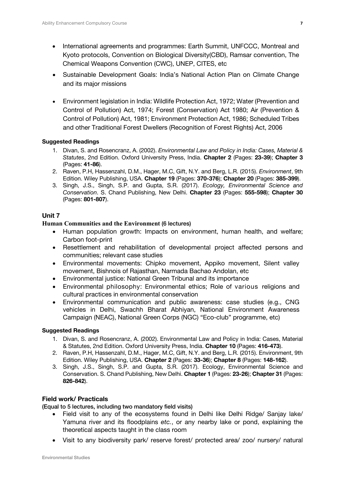- International agreements and programmes: Earth Summit, UNFCCC, Montreal and Kyoto protocols, Convention on Biological Diversity(CBD), Ramsar convention, The Chemical Weapons Convention (CWC), UNEP, CITES, etc
- Sustainable Development Goals: India's National Action Plan on Climate Change and its major missions
- Environment legislation in India: Wildlife Protection Act, 1972; Water (Prevention and Control of Pollution) Act, 1974; Forest (Conservation) Act 1980; Air (Prevention & Control of Pollution) Act, 1981; Environment Protection Act, 1986; Scheduled Tribes and other Traditional Forest Dwellers (Recognition of Forest Rights) Act, 2006

### **Suggested Readings**

- 1. Divan, S. and Rosencranz, A. (2002). *Environmental Law and Policy in India: Cases, Material & Statutes*, 2nd Edition. Oxford University Press, India. **Chapter 2** (Pages: **23-39**); **Chapter 3**  (Pages: **41-86**).
- 2. Raven, P.H, Hassenzahl, D.M., Hager, M.C, Gift, N.Y. and Berg, L.R. (2015). *Environment*, 9th Edition. Wiley Publishing, USA. **Chapter 19** (Pages: **370-376**); **Chapter 20** (Pages: **385-399**).
- 3. Singh, J.S., Singh, S.P. and Gupta, S.R. (2017). *Ecology, Environmental Science and Conservation*. S. Chand Publishing, New Delhi. **Chapter 23** (Pages: **555-598**); **Chapter 30**  (Pages: **801-807**).

# **Unit 7**

# **Human Communities and the Environment** (6 lectures)

- Human population growth: Impacts on environment, human health, and welfare; Carbon foot-print
- Resettlement and rehabilitation of developmental project affected persons and communities; relevant case studies
- Environmental movements: Chipko movement, Appiko movement, Silent valley movement, Bishnois of Rajasthan, Narmada Bachao Andolan, etc
- Environmental justice: National Green Tribunal and its importance
- Environmental philosophy: Environmental ethics; Role of various religions and cultural practices in environmental conservation
- Environmental communication and public awareness: case studies (e.g., CNG vehicles in Delhi, Swachh Bharat Abhiyan, National Environment Awareness Campaign (NEAC), National Green Corps (NGC) "Eco-club" programme, etc)

# **Suggested Readings**

- 1. Divan, S. and Rosencranz, A. (2002). Environmental Law and Policy in India: Cases, Material & Statutes, 2nd Edition. Oxford University Press, India. **Chapter 10** (Pages: **416-473**).
- 2. Raven, P.H, Hassenzahl, D.M., Hager, M.C, Gift, N.Y. and Berg, L.R. (2015). Environment, 9th Edition. Wiley Publishing, USA. **Chapter 2** (Pages: **33-36**); **Chapter 8** (Pages: **148-162**).
- 3. Singh, J.S., Singh, S.P. and Gupta, S.R. (2017). Ecology, Environmental Science and Conservation. S. Chand Publishing, New Delhi. **Chapter 1** (Pages: **23-26**); **Chapter 31** (Pages: **826-842**).

# **Field work/ Practicals**

(Equal to 5 lectures, including two mandatory field visits)

- Field visit to any of the ecosystems found in Delhi like Delhi Ridge/ Sanjay lake/ Yamuna river and its floodplains *etc.*, or any nearby lake or pond, explaining the theoretical aspects taught in the class room
- Visit to any biodiversity park/ reserve forest/ protected area/ zoo/ nursery/ natural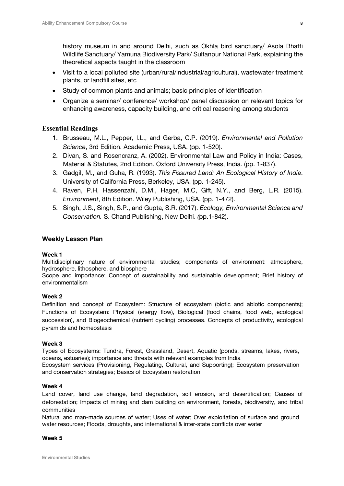history museum in and around Delhi, such as Okhla bird sanctuary/ Asola Bhatti Wildlife Sanctuary/ Yamuna Biodiversity Park/ Sultanpur National Park, explaining the theoretical aspects taught in the classroom

- Visit to a local polluted site (urban/rural/industrial/agricultural), wastewater treatment plants, or landfill sites, etc
- Study of common plants and animals; basic principles of identification
- Organize a seminar/ conference/ workshop/ panel discussion on relevant topics for enhancing awareness, capacity building, and critical reasoning among students

# **Essential Readings**

- 1. Brusseau, M.L., Pepper, I.L., and Gerba, C.P. (2019). *Environmental and Pollution Science*, 3rd Edition. Academic Press, USA. (pp. 1-520).
- 2. Divan, S. and Rosencranz, A. (2002). Environmental Law and Policy in India: Cases, Material & Statutes, 2nd Edition. Oxford University Press, India. (pp. 1-837).
- 3. Gadgil, M., and Guha, R. (1993). *This Fissured Land: An Ecological History of India*. University of California Press, Berkeley, USA. (pp. 1-245).
- 4. Raven, P.H, Hassenzahl, D.M., Hager, M.C, Gift, N.Y., and Berg, L.R. (2015). *Environment*, 8th Edition. Wiley Publishing, USA. (pp. 1-472).
- 5. Singh, J.S., Singh, S.P., and Gupta, S.R. (2017). *Ecology, Environmental Science and Conservation.* S. Chand Publishing, New Delhi. *(*pp.1-842).

### **Weekly Lesson Plan**

#### **Week 1**

Multidisciplinary nature of environmental studies; components of environment: atmosphere, hydrosphere, lithosphere, and biosphere

Scope and importance; Concept of sustainability and sustainable development; Brief history of environmentalism

#### **Week 2**

Definition and concept of Ecosystem: Structure of ecosystem (biotic and abiotic components); Functions of Ecosystem: Physical (energy flow), Biological (food chains, food web, ecological succession), and Biogeochemical (nutrient cycling) processes. Concepts of productivity, ecological pyramids and homeostasis

#### **Week 3**

Types of Ecosystems: Tundra, Forest, Grassland, Desert, Aquatic (ponds, streams, lakes, rivers, oceans, estuaries); importance and threats with relevant examples from India Ecosystem services (Provisioning, Regulating, Cultural, and Supporting); Ecosystem preservation and conservation strategies; Basics of Ecosystem restoration

#### **Week 4**

Land cover, land use change, land degradation, soil erosion, and desertification; Causes of deforestation; Impacts of mining and dam building on environment, forests, biodiversity, and tribal communities

Natural and man-made sources of water; Uses of water; Over exploitation of surface and ground water resources; Floods, droughts, and international & inter-state conflicts over water

#### **Week 5**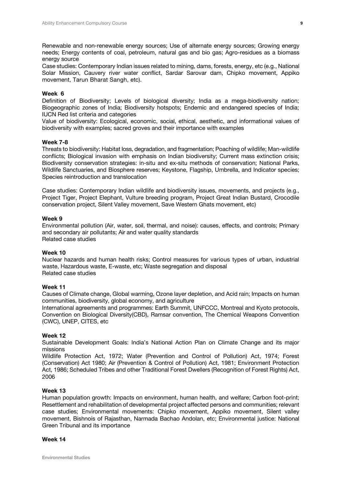Renewable and non-renewable energy sources; Use of alternate energy sources; Growing energy needs; Energy contents of coal, petroleum, natural gas and bio gas; Agro-residues as a biomass energy source

Case studies: Contemporary Indian issues related to mining, dams, forests, energy, etc (e.g., National Solar Mission, Cauvery river water conflict, Sardar Sarovar dam, Chipko movement, Appiko movement, Tarun Bharat Sangh, etc).

#### **Week 6**

Definition of Biodiversity; Levels of biological diversity; India as a mega-biodiversity nation; Biogeographic zones of India; Biodiversity hotspots; Endemic and endangered species of India; IUCN Red list criteria and categories

Value of biodiversity: Ecological, economic, social, ethical, aesthetic, and informational values of biodiversity with examples; sacred groves and their importance with examples

#### **Week 7-8**

Threats to biodiversity: Habitat loss, degradation, and fragmentation; Poaching of wildlife; Man-wildlife conflicts; Biological invasion with emphasis on Indian biodiversity; Current mass extinction crisis; Biodiversity conservation strategies: in-situ and ex-situ methods of conservation; National Parks, Wildlife Sanctuaries, and Biosphere reserves; Keystone, Flagship, Umbrella, and Indicator species; Species reintroduction and translocation

Case studies: Contemporary Indian wildlife and biodiversity issues, movements, and projects (e.g., Project Tiger, Project Elephant, Vulture breeding program, Project Great Indian Bustard, Crocodile conservation project, Silent Valley movement, Save Western Ghats movement, etc)

#### **Week 9**

Environmental pollution (Air, water, soil, thermal, and noise): causes, effects, and controls; Primary and secondary air pollutants; Air and water quality standards Related case studies

#### **Week 10**

Nuclear hazards and human health risks; Control measures for various types of urban, industrial waste, Hazardous waste, E-waste, etc; Waste segregation and disposal Related case studies

#### **Week 11**

Causes of Climate change, Global warming, Ozone layer depletion, and Acid rain; Impacts on human communities, biodiversity, global economy, and agriculture

International agreements and programmes: Earth Summit, UNFCCC, Montreal and Kyoto protocols, Convention on Biological Diversity(CBD), Ramsar convention, The Chemical Weapons Convention (CWC), UNEP, CITES, etc

#### **Week 12**

Sustainable Development Goals: India's National Action Plan on Climate Change and its major missions

Wildlife Protection Act, 1972; Water (Prevention and Control of Pollution) Act, 1974; Forest (Conservation) Act 1980; Air (Prevention & Control of Pollution) Act, 1981; Environment Protection Act, 1986; Scheduled Tribes and other Traditional Forest Dwellers (Recognition of Forest Rights) Act, 2006

#### **Week 13**

Human population growth: Impacts on environment, human health, and welfare; Carbon foot-print; Resettlement and rehabilitation of developmental project affected persons and communities; relevant case studies; Environmental movements: Chipko movement, Appiko movement, Silent valley movement, Bishnois of Rajasthan, Narmada Bachao Andolan, etc; Environmental justice: National Green Tribunal and its importance

#### **Week 14**